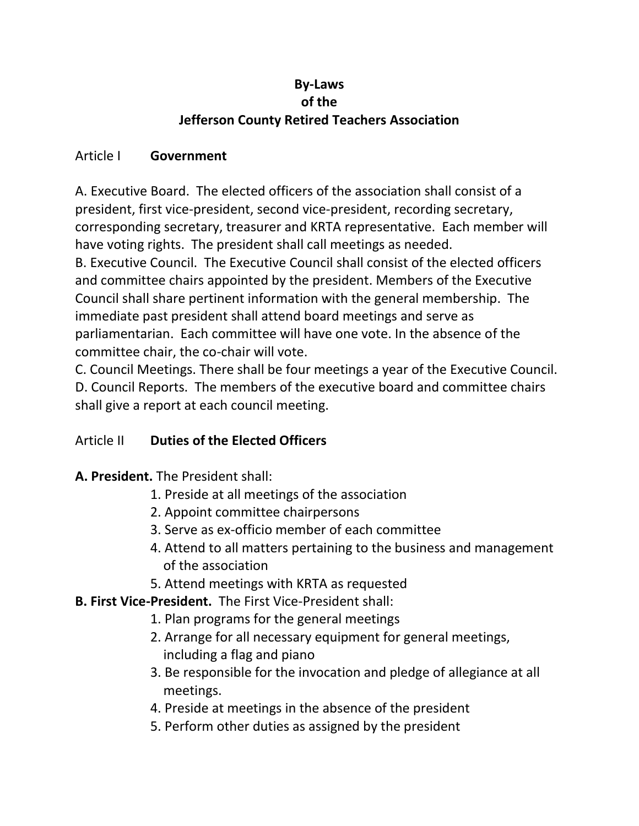# **By-Laws of the Jefferson County Retired Teachers Association**

### Article I **Government**

A. Executive Board. The elected officers of the association shall consist of a president, first vice-president, second vice-president, recording secretary, corresponding secretary, treasurer and KRTA representative. Each member will have voting rights. The president shall call meetings as needed. B. Executive Council. The Executive Council shall consist of the elected officers and committee chairs appointed by the president. Members of the Executive Council shall share pertinent information with the general membership. The immediate past president shall attend board meetings and serve as parliamentarian. Each committee will have one vote. In the absence of the committee chair, the co-chair will vote.

C. Council Meetings. There shall be four meetings a year of the Executive Council. D. Council Reports. The members of the executive board and committee chairs shall give a report at each council meeting.

# Article II **Duties of the Elected Officers**

**A. President.** The President shall:

- 1. Preside at all meetings of the association
- 2. Appoint committee chairpersons
- 3. Serve as ex-officio member of each committee
- 4. Attend to all matters pertaining to the business and management of the association
- 5. Attend meetings with KRTA as requested
- **B. First Vice-President.** The First Vice-President shall:
	- 1. Plan programs for the general meetings
	- 2. Arrange for all necessary equipment for general meetings, including a flag and piano
	- 3. Be responsible for the invocation and pledge of allegiance at all meetings.
	- 4. Preside at meetings in the absence of the president
	- 5. Perform other duties as assigned by the president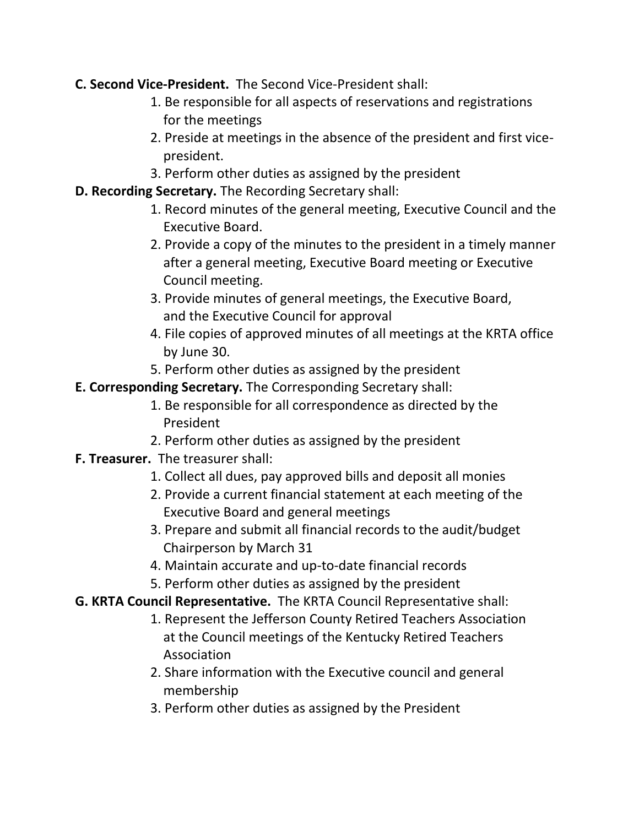# **C. Second Vice-President.** The Second Vice-President shall:

- 1. Be responsible for all aspects of reservations and registrations for the meetings
- 2. Preside at meetings in the absence of the president and first vice president.
- 3. Perform other duties as assigned by the president
- **D. Recording Secretary.** The Recording Secretary shall:
	- 1. Record minutes of the general meeting, Executive Council and the Executive Board.
	- 2. Provide a copy of the minutes to the president in a timely manner after a general meeting, Executive Board meeting or Executive Council meeting.
	- 3. Provide minutes of general meetings, the Executive Board, and the Executive Council for approval
	- 4. File copies of approved minutes of all meetings at the KRTA office by June 30.
	- 5. Perform other duties as assigned by the president
- **E. Corresponding Secretary.** The Corresponding Secretary shall:
	- 1. Be responsible for all correspondence as directed by the President
	- 2. Perform other duties as assigned by the president
- **F. Treasurer.** The treasurer shall:
	- 1. Collect all dues, pay approved bills and deposit all monies
	- 2. Provide a current financial statement at each meeting of the Executive Board and general meetings
	- 3. Prepare and submit all financial records to the audit/budget Chairperson by March 31
	- 4. Maintain accurate and up-to-date financial records
	- 5. Perform other duties as assigned by the president
- **G. KRTA Council Representative.** The KRTA Council Representative shall:
	- 1. Represent the Jefferson County Retired Teachers Association at the Council meetings of the Kentucky Retired Teachers Association
	- 2. Share information with the Executive council and general membership
	- 3. Perform other duties as assigned by the President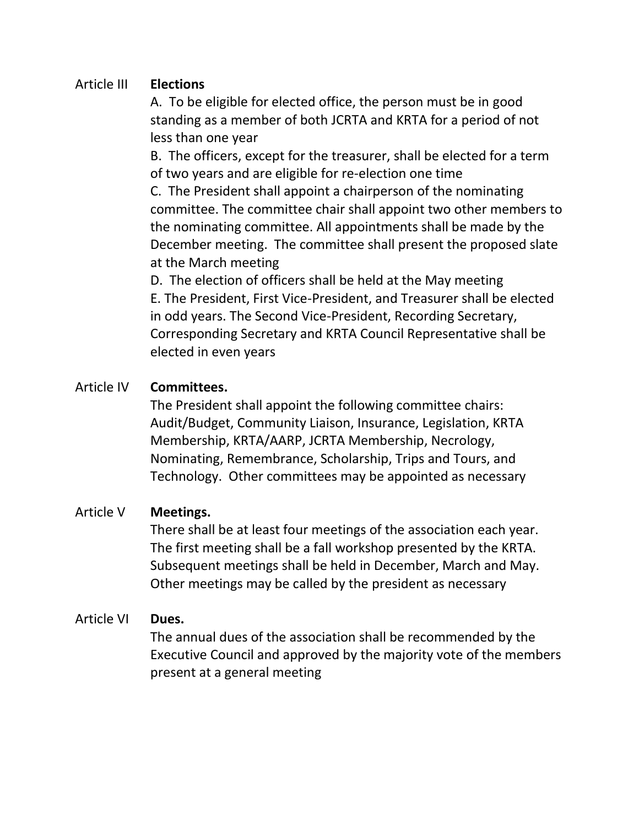#### Article III **Elections**

A. To be eligible for elected office, the person must be in good standing as a member of both JCRTA and KRTA for a period of not less than one year

B. The officers, except for the treasurer, shall be elected for a term of two years and are eligible for re-election one time

C. The President shall appoint a chairperson of the nominating committee. The committee chair shall appoint two other members to the nominating committee. All appointments shall be made by the December meeting. The committee shall present the proposed slate at the March meeting

D. The election of officers shall be held at the May meeting E. The President, First Vice-President, and Treasurer shall be elected in odd years. The Second Vice-President, Recording Secretary, Corresponding Secretary and KRTA Council Representative shall be elected in even years

# Article IV **Committees.**

The President shall appoint the following committee chairs: Audit/Budget, Community Liaison, Insurance, Legislation, KRTA Membership, KRTA/AARP, JCRTA Membership, Necrology, Nominating, Remembrance, Scholarship, Trips and Tours, and Technology. Other committees may be appointed as necessary

### Article V **Meetings.**

There shall be at least four meetings of the association each year. The first meeting shall be a fall workshop presented by the KRTA. Subsequent meetings shall be held in December, March and May. Other meetings may be called by the president as necessary

### Article VI **Dues.**

The annual dues of the association shall be recommended by the Executive Council and approved by the majority vote of the members present at a general meeting